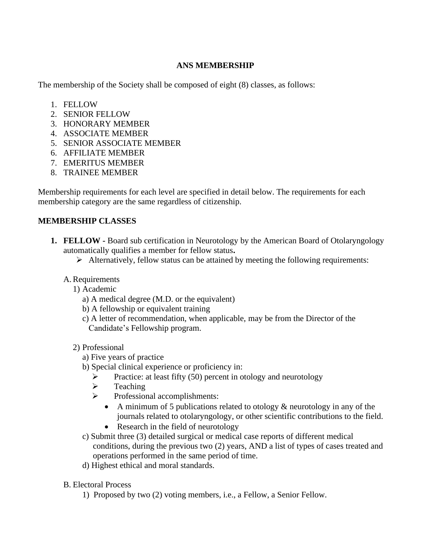## **ANS MEMBERSHIP**

The membership of the Society shall be composed of eight (8) classes, as follows:

- 1. FELLOW
- 2. SENIOR FELLOW
- 3. HONORARY MEMBER
- 4. ASSOCIATE MEMBER
- 5. SENIOR ASSOCIATE MEMBER
- 6. AFFILIATE MEMBER
- 7. EMERITUS MEMBER
- 8. TRAINEE MEMBER

Membership requirements for each level are specified in detail below. The requirements for each membership category are the same regardless of citizenship.

## **MEMBERSHIP CLASSES**

- **1. FELLOW -** Board sub certification in Neurotology by the American Board of Otolaryngology automatically qualifies a member for fellow status**.** 
	- $\triangleright$  Alternatively, fellow status can be attained by meeting the following requirements:
	- A.Requirements
		- 1) Academic
			- a) A medical degree (M.D. or the equivalent)
			- b) A fellowship or equivalent training
			- c) A letter of recommendation, when applicable, may be from the Director of the Candidate's Fellowship program.

## 2) Professional

- a) Five years of practice
- b) Special clinical experience or proficiency in:
	- $\triangleright$  Practice: at least fifty (50) percent in otology and neurotology
	- ➢ Teaching
	- ➢ Professional accomplishments:
		- A minimum of 5 publications related to otology & neurotology in any of the journals related to otolaryngology, or other scientific contributions to the field.
		- Research in the field of neurotology
- c) Submit three (3) detailed surgical or medical case reports of different medical conditions, during the previous two (2) years, AND a list of types of cases treated and operations performed in the same period of time.
- d) Highest ethical and moral standards.
- B. Electoral Process
	- 1) Proposed by two (2) voting members, i.e., a Fellow, a Senior Fellow.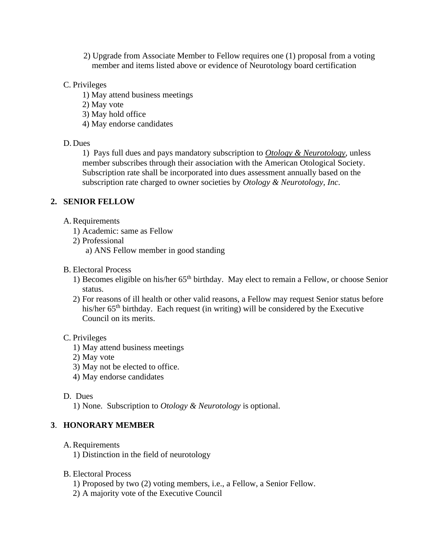2) Upgrade from Associate Member to Fellow requires one (1) proposal from a voting member and items listed above or evidence of Neurotology board certification

### C. Privileges

- 1) May attend business meetings
- 2) May vote
- 3) May hold office
- 4) May endorse candidates

#### D. Dues

1) Pays full dues and pays mandatory subscription to *Otology & Neurotology*, unless member subscribes through their association with the American Otological Society. Subscription rate shall be incorporated into dues assessment annually based on the subscription rate charged to owner societies by *Otology & Neurotology, Inc*.

#### **2. SENIOR FELLOW**

- A.Requirements
	- 1) Academic: same as Fellow
	- 2) Professional
		- a) ANS Fellow member in good standing
- B. Electoral Process
	- 1) Becomes eligible on his/her 65th birthday. May elect to remain a Fellow, or choose Senior status.
	- 2) For reasons of ill health or other valid reasons, a Fellow may request Senior status before his/her 65<sup>th</sup> birthday. Each request (in writing) will be considered by the Executive Council on its merits.

#### C. Privileges

- 1) May attend business meetings
- 2) May vote
- 3) May not be elected to office.
- 4) May endorse candidates

#### D. Dues

1) None. Subscription to *Otology & Neurotology* is optional.

#### **3**. **HONORARY MEMBER**

- A.Requirements
	- 1) Distinction in the field of neurotology
- B. Electoral Process
	- 1) Proposed by two (2) voting members, i.e., a Fellow, a Senior Fellow.
	- 2) A majority vote of the Executive Council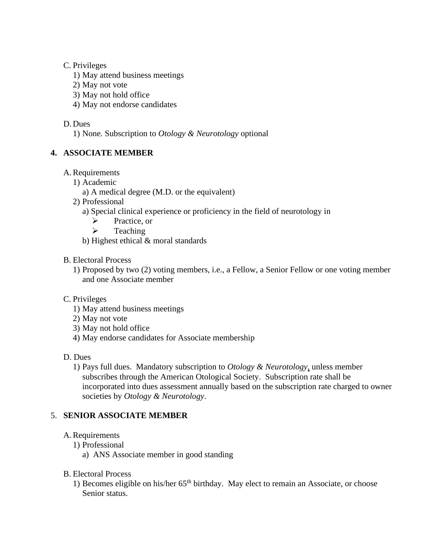## C. Privileges

- 1) May attend business meetings
- 2) May not vote
- 3) May not hold office
- 4) May not endorse candidates

## D. Dues

1) None. Subscription to *Otology & Neurotology* optional

## **4. ASSOCIATE MEMBER**

- A.Requirements
	- 1) Academic
		- a) A medical degree (M.D. or the equivalent)
	- 2) Professional
		- a) Special clinical experience or proficiency in the field of neurotology in
			- ➢ Practice, or
			- ➢ Teaching
		- b) Highest ethical & moral standards
- B. Electoral Process
	- 1) Proposed by two (2) voting members, i.e., a Fellow, a Senior Fellow or one voting member and one Associate member

## C. Privileges

- 1) May attend business meetings
- 2) May not vote
- 3) May not hold office
- 4) May endorse candidates for Associate membership
- D. Dues
	- 1) Pays full dues. Mandatory subscription to *Otology & Neurotology,* unless member subscribes through the American Otological Society. Subscription rate shall be incorporated into dues assessment annually based on the subscription rate charged to owner societies by *Otology & Neurotology*.

## 5. **SENIOR ASSOCIATE MEMBER**

## A.Requirements

- 1) Professional
	- a) ANS Associate member in good standing
- B. Electoral Process
	- 1) Becomes eligible on his/her 65<sup>th</sup> birthday. May elect to remain an Associate, or choose Senior status.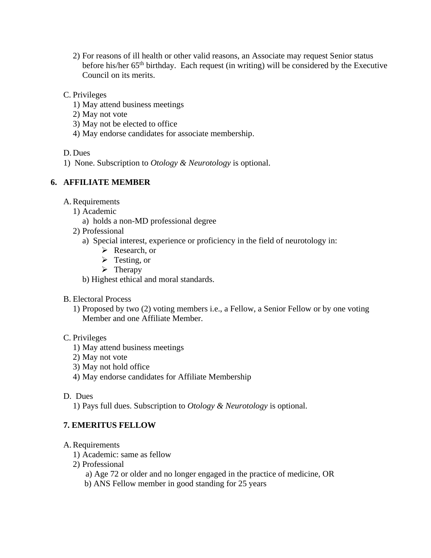- 2) For reasons of ill health or other valid reasons, an Associate may request Senior status before his/her  $65<sup>th</sup>$  birthday. Each request (in writing) will be considered by the Executive Council on its merits.
- C. Privileges
	- 1) May attend business meetings
	- 2) May not vote
	- 3) May not be elected to office
	- 4) May endorse candidates for associate membership.

D. Dues

1) None. Subscription to *Otology & Neurotology* is optional.

# **6. AFFILIATE MEMBER**

- A.Requirements
	- 1) Academic
		- a) holds a non-MD professional degree
	- 2) Professional
		- a) Special interest, experience or proficiency in the field of neurotology in:
			- ➢ Research, or
			- ➢ Testing, or
			- $\triangleright$  Therapy
		- b) Highest ethical and moral standards.
- B. Electoral Process
	- 1) Proposed by two (2) voting members i.e., a Fellow, a Senior Fellow or by one voting Member and one Affiliate Member.

## C. Privileges

- 1) May attend business meetings
- 2) May not vote
- 3) May not hold office
- 4) May endorse candidates for Affiliate Membership

## D. Dues

1) Pays full dues. Subscription to *Otology & Neurotology* is optional.

# **7. EMERITUS FELLOW**

## A.Requirements

- 1) Academic: same as fellow
- 2) Professional
	- a) Age 72 or older and no longer engaged in the practice of medicine, OR
	- b) ANS Fellow member in good standing for 25 years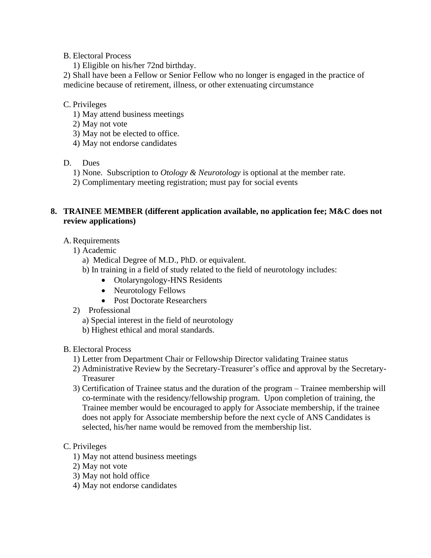### B. Electoral Process

1) Eligible on his/her 72nd birthday.

2) Shall have been a Fellow or Senior Fellow who no longer is engaged in the practice of medicine because of retirement, illness, or other extenuating circumstance

## C. Privileges

- 1) May attend business meetings
- 2) May not vote
- 3) May not be elected to office.
- 4) May not endorse candidates

## D. Dues

- 1) None. Subscription to *Otology & Neurotology* is optional at the member rate.
- 2) Complimentary meeting registration; must pay for social events

## **8. TRAINEE MEMBER (different application available, no application fee; M&C does not review applications)**

## A.Requirements

- 1) Academic
	- a) Medical Degree of M.D., PhD. or equivalent.
	- b) In training in a field of study related to the field of neurotology includes:
		- Otolaryngology-HNS Residents
		- Neurotology Fellows
		- Post Doctorate Researchers
- 2) Professional
	- a) Special interest in the field of neurotology
	- b) Highest ethical and moral standards.
- B. Electoral Process
	- 1) Letter from Department Chair or Fellowship Director validating Trainee status
	- 2) Administrative Review by the Secretary-Treasurer's office and approval by the Secretary-Treasurer
	- 3) Certification of Trainee status and the duration of the program Trainee membership will co-terminate with the residency/fellowship program. Upon completion of training, the Trainee member would be encouraged to apply for Associate membership, if the trainee does not apply for Associate membership before the next cycle of ANS Candidates is selected, his/her name would be removed from the membership list.

## C. Privileges

- 1) May not attend business meetings
- 2) May not vote
- 3) May not hold office
- 4) May not endorse candidates